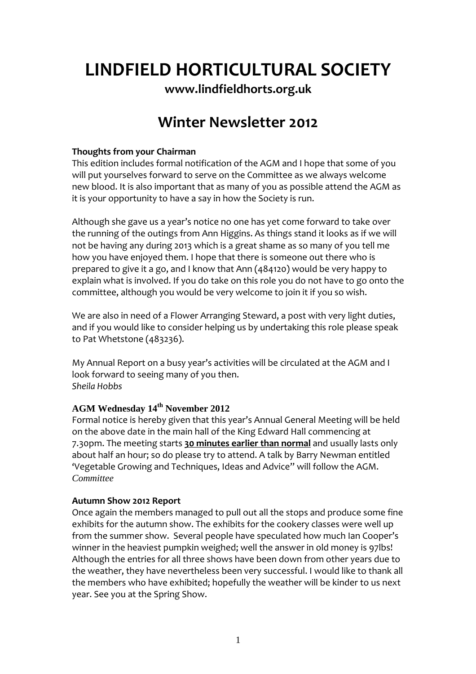### **LINDFIELD HORTICULTURAL SOCIETY**

**www.lindfieldhorts.org.uk**

### **Winter Newsletter 2012**

#### **Thoughts from your Chairman**

This edition includes formal notification of the AGM and I hope that some of you will put yourselves forward to serve on the Committee as we always welcome new blood. It is also important that as many of you as possible attend the AGM as it is your opportunity to have a say in how the Society is run.

Although she gave us a year's notice no one has yet come forward to take over the running of the outings from Ann Higgins. As things stand it looks as if we will not be having any during 2013 which is a great shame as so many of you tell me how you have enjoyed them. I hope that there is someone out there who is prepared to give it a go, and I know that Ann (484120) would be very happy to explain what is involved. If you do take on this role you do not have to go onto the committee, although you would be very welcome to join it if you so wish.

We are also in need of a Flower Arranging Steward, a post with very light duties, and if you would like to consider helping us by undertaking this role please speak to Pat Whetstone (483236).

My Annual Report on a busy year's activities will be circulated at the AGM and I look forward to seeing many of you then. *Sheila Hobbs*

#### **AGM Wednesday 14th November 2012**

Formal notice is hereby given that this year's Annual General Meeting will be held on the above date in the main hall of the King Edward Hall commencing at 7.30pm. The meeting starts **30 minutes earlier than normal** and usually lasts only about half an hour; so do please try to attend. A talk by Barry Newman entitled 'Vegetable Growing and Techniques, Ideas and Advice" will follow the AGM. *Committee* 

#### **Autumn Show 2012 Report**

Once again the members managed to pull out all the stops and produce some fine exhibits for the autumn show. The exhibits for the cookery classes were well up from the summer show. Several people have speculated how much Ian Cooper's winner in the heaviest pumpkin weighed; well the answer in old money is 97lbs! Although the entries for all three shows have been down from other years due to the weather, they have nevertheless been very successful. I would like to thank all the members who have exhibited; hopefully the weather will be kinder to us next year. See you at the Spring Show.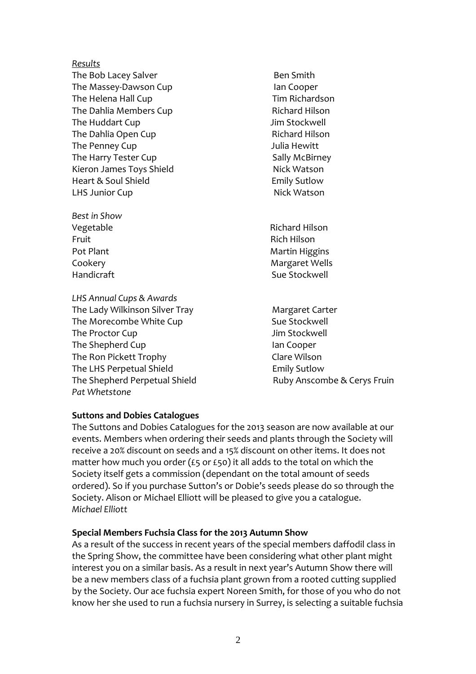#### *Results*

The Bob Lacey Salver **Business** Ben Smith The Massey‐Dawson Cup Ian Cooper The Helena Hall Cup **Tim Richardson** The Dahlia Members Cup **Sand Club Contains Cup** Richard Hilson The Huddart Cup Jim Stockwell The Dahlia Open Cup **Branch** Richard Hilson The Penney Cup Julia Hewitt The Harry Tester Cup **Sally McBirney** Sally McBirney Kieron James Toys Shield **Shield** Nick Watson Heart & Soul Shield **Emily Sutlow** LHS Junior Cup **Nick Watson** 

*Best in Show* Fruit Rich Hilson

*LHS Annual Cups & Awards* The Lady Wilkinson Silver Tray **Margaret Carter** The Morecombe White Cup **Suppleman Supplem Supplem Supplem Supplem Supplem Supplem Supplem Supplem Supplem Supplem Supplem Supplem Supplem Supplem Supplem Supplem Supplem Supplem Supplem Supplem Supplem Supplem Supplem Sup** The Proctor Cup Jim Stockwell The Shepherd Cup **and Cup 12 and Cooper 12 and Cooper** The Ron Pickett Trophy Clare Wilson The LHS Perpetual Shield **Emily Sutlow** The Shepherd Perpetual Shield **Business Company** Ruby Anscombe & Cerys Fruin *Pat Whetstone*

Vegetable **Vegetable 1999** Vegetable **1999** Vegetable Pot Plant **International Contract Contract Contract Contract Contract Contract Contract Contract Contract Contract Contract Contract Contract Contract Contract Contract Contract Contract Contract Contract Contract Contract** Cookery Margaret Wells Handicraft 
and the stockwell 
stockwell  $\sim$  Sue Stockwell

#### **Suttons and Dobies Catalogues**

The Suttons and Dobies Catalogues for the 2013 season are now available at our events. Members when ordering their seeds and plants through the Society will receive a 20% discount on seeds and a 15% discount on other items. It does not matter how much you order (£5 or £50) it all adds to the total on which the Society itself gets a commission (dependant on the total amount of seeds ordered). So if you purchase Sutton's or Dobie's seeds please do so through the Society. Alison or Michael Elliott will be pleased to give you a catalogue. *Michael Elliott*

#### **Special Members Fuchsia Class for the 2013 Autumn Show**

As a result of the success in recent years of the special members daffodil class in the Spring Show, the committee have been considering what other plant might interest you on a similar basis. As a result in next year's Autumn Show there will be a new members class of a fuchsia plant grown from a rooted cutting supplied by the Society. Our ace fuchsia expert Noreen Smith, for those of you who do not know her she used to run a fuchsia nursery in Surrey, is selecting a suitable fuchsia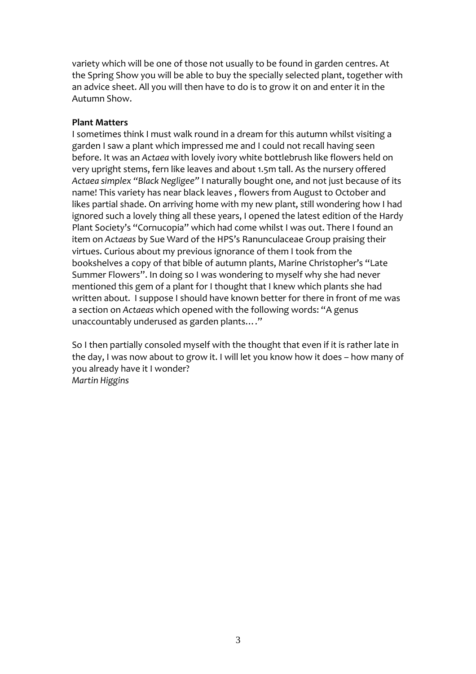variety which will be one of those not usually to be found in garden centres. At the Spring Show you will be able to buy the specially selected plant, together with an advice sheet. All you will then have to do is to grow it on and enter it in the Autumn Show.

#### **Plant Matters**

I sometimes think I must walk round in a dream for this autumn whilst visiting a garden I saw a plant which impressed me and I could not recall having seen before. It was an *Actaea* with lovely ivory white bottlebrush like flowers held on very upright stems, fern like leaves and about 1.5m tall. As the nursery offered *Actaea simplex "Black Negligee"* I naturally bought one, and not just because of its name! This variety has near black leaves , flowers from August to October and likes partial shade. On arriving home with my new plant, still wondering how I had ignored such a lovely thing all these years, I opened the latest edition of the Hardy Plant Society's "Cornucopia" which had come whilst I was out. There I found an item on *Actaeas* by Sue Ward of the HPS's Ranunculaceae Group praising their virtues. Curious about my previous ignorance of them I took from the bookshelves a copy of that bible of autumn plants, Marine Christopher's "Late Summer Flowers". In doing so I was wondering to myself why she had never mentioned this gem of a plant for I thought that I knew which plants she had written about. I suppose I should have known better for there in front of me was a section on *Actaeas* which opened with the following words: "A genus unaccountably underused as garden plants…."

So I then partially consoled myself with the thought that even if it is rather late in the day, I was now about to grow it. I will let you know how it does – how many of you already have it I wonder? *Martin Higgins*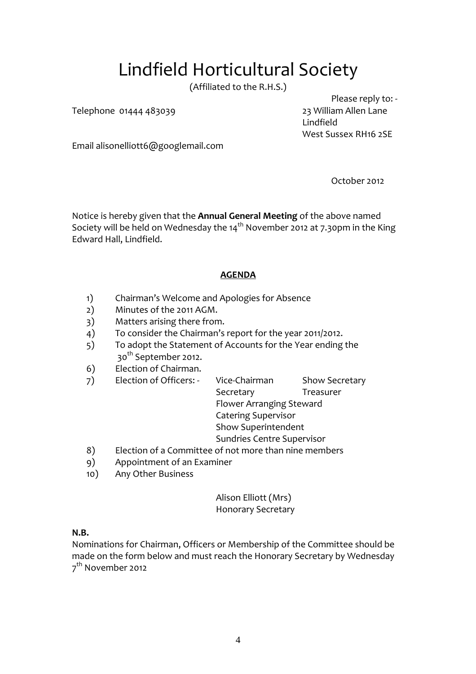## Lindfield Horticultural Society

(Affiliated to the R.H.S.)

Telephone 01444 483039 23 William Allen Lane

 Please reply to: ‐ Lindfield West Sussex RH16 2SE

Email alisonelliott6@googlemail.com

October 2012

Notice is hereby given that the **Annual General Meeting** of the above named Society will be held on Wednesday the  $14<sup>th</sup>$  November 2012 at 7.30pm in the King Edward Hall, Lindfield.

#### **AGENDA**

- 1) Chairman's Welcome and Apologies for Absence
- 2) Minutes of the 2011 AGM.
- 3) Matters arising there from.
- 4) To consider the Chairman's report for the year 2011/2012.
- 5) To adopt the Statement of Accounts for the Year ending the 30th September 2012.
- 6) Election of Chairman.
- 7) Election of Officers: Vice-Chairman Show Secretary Secretary Treasurer Flower Arranging Steward Catering Supervisor Show Superintendent Sundries Centre Supervisor 8) Election of a Committee of not more than nine members 9) Appointment of an Examiner
- 10) Any Other Business

Alison Elliott (Mrs) Honorary Secretary

#### **N.B.**

Nominations for Chairman, Officers or Membership of the Committee should be made on the form below and must reach the Honorary Secretary by Wednesday 7<sup>th</sup> November 2012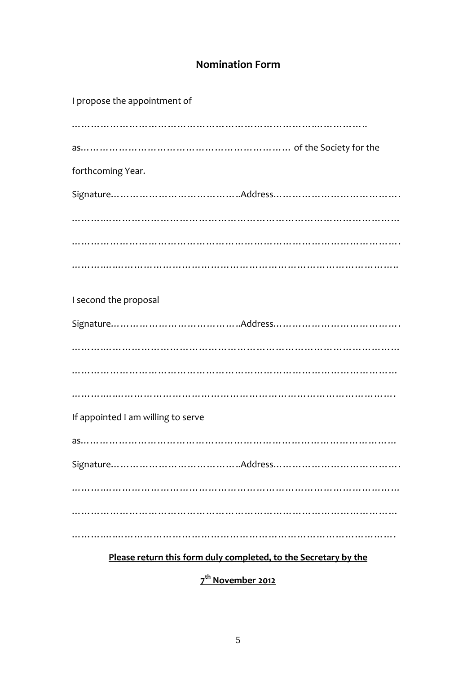### **Nomination Form**

| I propose the appointment of       |
|------------------------------------|
|                                    |
|                                    |
| forthcoming Year.                  |
|                                    |
|                                    |
|                                    |
|                                    |
| I second the proposal              |
|                                    |
| .                                  |
|                                    |
|                                    |
| If appointed I am willing to serve |
|                                    |
|                                    |
| .                                  |
|                                    |
|                                    |

**Please return this form duly completed, to the Secretary by the**

**7th November 2012**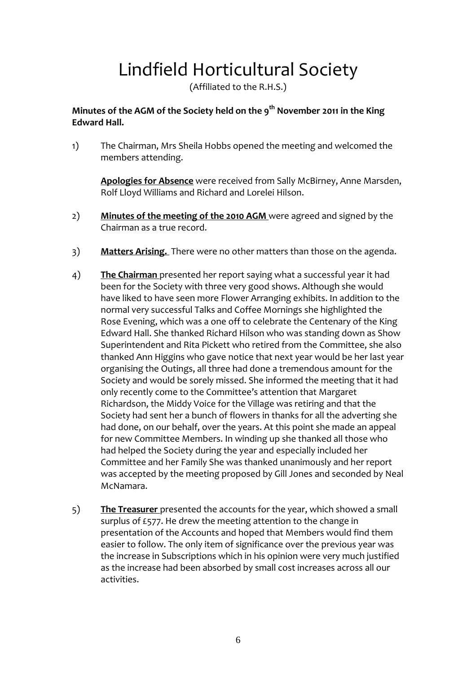# Lindfield Horticultural Society

(Affiliated to the R.H.S.)

#### **Minutes of the AGM of the Society held on the 9th November 2011 in the King Edward Hall.**

1) The Chairman, Mrs Sheila Hobbs opened the meeting and welcomed the members attending.

**Apologies for Absence** were received from Sally McBirney, Anne Marsden, Rolf Lloyd Williams and Richard and Lorelei Hilson.

- 2) **Minutes of the meeting of the 2010 AGM** were agreed and signed by the Chairman as a true record.
- 3) **Matters Arising.** There were no other matters than those on the agenda.
- 4) **The Chairman** presented her report saying what a successful year it had been for the Society with three very good shows. Although she would have liked to have seen more Flower Arranging exhibits. In addition to the normal very successful Talks and Coffee Mornings she highlighted the Rose Evening, which was a one off to celebrate the Centenary of the King Edward Hall. She thanked Richard Hilson who was standing down as Show Superintendent and Rita Pickett who retired from the Committee, she also thanked Ann Higgins who gave notice that next year would be her last year organising the Outings, all three had done a tremendous amount for the Society and would be sorely missed. She informed the meeting that it had only recently come to the Committee's attention that Margaret Richardson, the Middy Voice for the Village was retiring and that the Society had sent her a bunch of flowers in thanks for all the adverting she had done, on our behalf, over the years. At this point she made an appeal for new Committee Members. In winding up she thanked all those who had helped the Society during the year and especially included her Committee and her Family She was thanked unanimously and her report was accepted by the meeting proposed by Gill Jones and seconded by Neal McNamara.
- 5) **The Treasurer** presented the accounts for the year, which showed a small surplus of £577. He drew the meeting attention to the change in presentation of the Accounts and hoped that Members would find them easier to follow. The only item of significance over the previous year was the increase in Subscriptions which in his opinion were very much justified as the increase had been absorbed by small cost increases across all our activities.